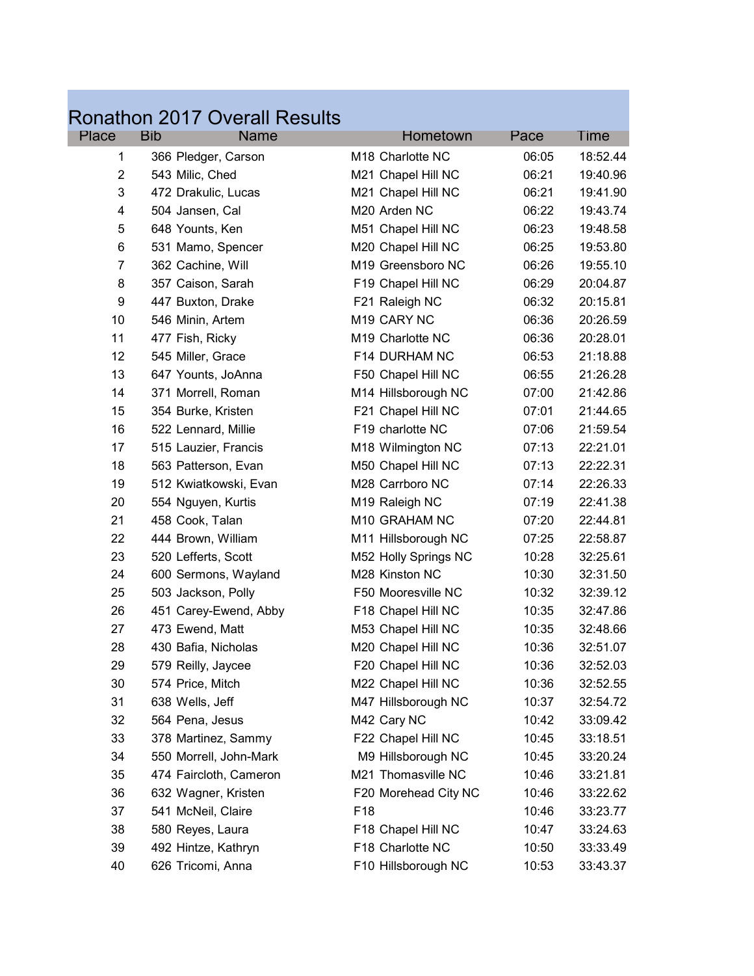|                |                      | <b>Ronathon 2017 Overall Results</b> |                 |                               |       |          |
|----------------|----------------------|--------------------------------------|-----------------|-------------------------------|-------|----------|
| Place          | <b>Bib</b>           | <b>Name</b>                          |                 | Hometown                      | Pace  | Time     |
| 1              | 366 Pledger, Carson  |                                      |                 | M18 Charlotte NC              | 06:05 | 18:52.44 |
| $\overline{2}$ | 543 Milic, Ched      |                                      |                 | M21 Chapel Hill NC            | 06:21 | 19:40.96 |
| 3              | 472 Drakulic, Lucas  |                                      |                 | M21 Chapel Hill NC            | 06:21 | 19:41.90 |
| 4              | 504 Jansen, Cal      |                                      |                 | M20 Arden NC                  | 06:22 | 19:43.74 |
| 5              | 648 Younts, Ken      |                                      |                 | M51 Chapel Hill NC            | 06:23 | 19:48.58 |
| 6              | 531 Mamo, Spencer    |                                      |                 | M20 Chapel Hill NC            | 06:25 | 19:53.80 |
| $\overline{7}$ | 362 Cachine, Will    |                                      |                 | M <sub>19</sub> Greensboro NC | 06:26 | 19:55.10 |
| 8              | 357 Caison, Sarah    |                                      |                 | F19 Chapel Hill NC            | 06:29 | 20:04.87 |
| 9              | 447 Buxton, Drake    |                                      |                 | F21 Raleigh NC                | 06:32 | 20:15.81 |
| 10             | 546 Minin, Artem     |                                      |                 | M19 CARY NC                   | 06:36 | 20:26.59 |
| 11             | 477 Fish, Ricky      |                                      |                 | M19 Charlotte NC              | 06:36 | 20:28.01 |
| 12             | 545 Miller, Grace    |                                      |                 | F14 DURHAM NC                 | 06:53 | 21:18.88 |
| 13             | 647 Younts, JoAnna   |                                      |                 | F50 Chapel Hill NC            | 06:55 | 21:26.28 |
| 14             | 371 Morrell, Roman   |                                      |                 | M14 Hillsborough NC           | 07:00 | 21:42.86 |
| 15             | 354 Burke, Kristen   |                                      |                 | F21 Chapel Hill NC            | 07:01 | 21:44.65 |
| 16             | 522 Lennard, Millie  |                                      |                 | F19 charlotte NC              | 07:06 | 21:59.54 |
| 17             | 515 Lauzier, Francis |                                      |                 | M18 Wilmington NC             | 07:13 | 22:21.01 |
| 18             | 563 Patterson, Evan  |                                      |                 | M50 Chapel Hill NC            | 07:13 | 22:22.31 |
| 19             |                      | 512 Kwiatkowski, Evan                |                 | M28 Carrboro NC               | 07:14 | 22:26.33 |
| 20             | 554 Nguyen, Kurtis   |                                      |                 | M19 Raleigh NC                | 07:19 | 22:41.38 |
| 21             | 458 Cook, Talan      |                                      |                 | M10 GRAHAM NC                 | 07:20 | 22:44.81 |
| 22             | 444 Brown, William   |                                      |                 | M11 Hillsborough NC           | 07:25 | 22:58.87 |
| 23             | 520 Lefferts, Scott  |                                      |                 | M52 Holly Springs NC          | 10:28 | 32:25.61 |
| 24             |                      | 600 Sermons, Wayland                 |                 | M28 Kinston NC                | 10:30 | 32:31.50 |
| 25             | 503 Jackson, Polly   |                                      |                 | F50 Mooresville NC            | 10:32 | 32:39.12 |
| 26             |                      | 451 Carey-Ewend, Abby                |                 | F18 Chapel Hill NC            | 10:35 | 32:47.86 |
| 27             | 473 Ewend, Matt      |                                      |                 | M53 Chapel Hill NC            | 10:35 | 32:48.66 |
| 28             | 430 Bafia, Nicholas  |                                      |                 | M20 Chapel Hill NC            | 10:36 | 32:51.07 |
| 29             | 579 Reilly, Jaycee   |                                      |                 | F20 Chapel Hill NC            | 10:36 | 32:52.03 |
| 30             | 574 Price, Mitch     |                                      |                 | M22 Chapel Hill NC            | 10:36 | 32:52.55 |
| 31             | 638 Wells, Jeff      |                                      |                 | M47 Hillsborough NC           | 10:37 | 32:54.72 |
| 32             | 564 Pena, Jesus      |                                      |                 | M42 Cary NC                   | 10:42 | 33:09.42 |
| 33             | 378 Martinez, Sammy  |                                      |                 | F22 Chapel Hill NC            | 10:45 | 33:18.51 |
| 34             |                      | 550 Morrell, John-Mark               |                 | M9 Hillsborough NC            | 10:45 | 33:20.24 |
| 35             |                      | 474 Faircloth, Cameron               |                 | M21 Thomasville NC            | 10:46 | 33:21.81 |
| 36             | 632 Wagner, Kristen  |                                      |                 | F20 Morehead City NC          | 10:46 | 33:22.62 |
| 37             | 541 McNeil, Claire   |                                      | F <sub>18</sub> |                               | 10:46 | 33:23.77 |
| 38             | 580 Reyes, Laura     |                                      |                 | F18 Chapel Hill NC            | 10:47 | 33:24.63 |
| 39             | 492 Hintze, Kathryn  |                                      |                 | F18 Charlotte NC              | 10:50 | 33:33.49 |
| 40             | 626 Tricomi, Anna    |                                      |                 | F10 Hillsborough NC           | 10:53 | 33:43.37 |

 $\label{eq:2.1} \frac{1}{\sqrt{2}}\int_{0}^{2\pi} \frac{1}{\sqrt{2}}\left(\frac{1}{\sqrt{2}}\right)^{2} \left(\frac{1}{\sqrt{2}}\right)^{2} \left(\frac{1}{\sqrt{2}}\right)^{2} \left(\frac{1}{\sqrt{2}}\right)^{2} \left(\frac{1}{\sqrt{2}}\right)^{2} \left(\frac{1}{\sqrt{2}}\right)^{2} \left(\frac{1}{\sqrt{2}}\right)^{2} \left(\frac{1}{\sqrt{2}}\right)^{2} \left(\frac{1}{\sqrt{2}}\right)^{2} \left(\frac{1}{\sqrt{2}}\right)^{2} \$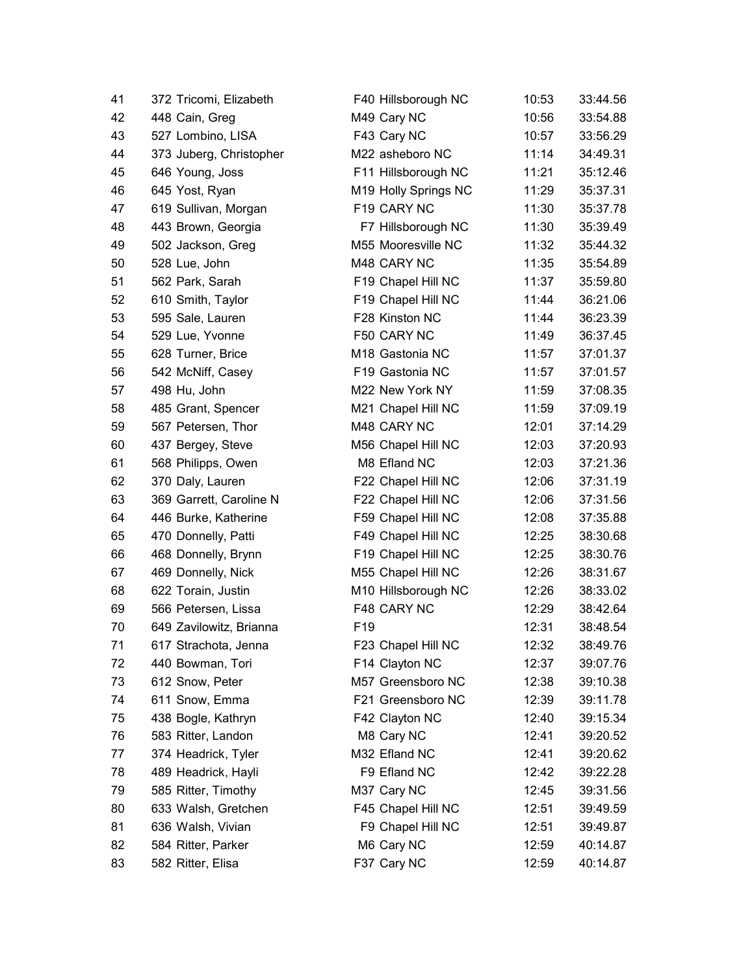| 41 | 372 Tricomi, Elizabeth  | F40 Hillsborough NC  | 10:53 | 33:44.56 |
|----|-------------------------|----------------------|-------|----------|
| 42 | 448 Cain, Greg          | M49 Cary NC          | 10:56 | 33:54.88 |
| 43 | 527 Lombino, LISA       | F43 Cary NC          | 10:57 | 33:56.29 |
| 44 | 373 Juberg, Christopher | M22 asheboro NC      | 11:14 | 34:49.31 |
| 45 | 646 Young, Joss         | F11 Hillsborough NC  | 11:21 | 35:12.46 |
| 46 | 645 Yost, Ryan          | M19 Holly Springs NC | 11:29 | 35:37.31 |
| 47 | 619 Sullivan, Morgan    | F19 CARY NC          | 11:30 | 35:37.78 |
| 48 | 443 Brown, Georgia      | F7 Hillsborough NC   | 11:30 | 35:39.49 |
| 49 | 502 Jackson, Greg       | M55 Mooresville NC   | 11:32 | 35:44.32 |
| 50 | 528 Lue, John           | M48 CARY NC          | 11:35 | 35:54.89 |
| 51 | 562 Park, Sarah         | F19 Chapel Hill NC   | 11:37 | 35:59.80 |
| 52 | 610 Smith, Taylor       | F19 Chapel Hill NC   | 11:44 | 36:21.06 |
| 53 | 595 Sale, Lauren        | F28 Kinston NC       | 11:44 | 36:23.39 |
| 54 | 529 Lue, Yvonne         | F50 CARY NC          | 11:49 | 36:37.45 |
| 55 | 628 Turner, Brice       | M18 Gastonia NC      | 11:57 | 37:01.37 |
| 56 | 542 McNiff, Casey       | F19 Gastonia NC      | 11:57 | 37:01.57 |
| 57 | 498 Hu, John            | M22 New York NY      | 11:59 | 37:08.35 |
| 58 | 485 Grant, Spencer      | M21 Chapel Hill NC   | 11:59 | 37:09.19 |
| 59 | 567 Petersen, Thor      | M48 CARY NC          | 12:01 | 37:14.29 |
| 60 | 437 Bergey, Steve       | M56 Chapel Hill NC   | 12:03 | 37:20.93 |
| 61 | 568 Philipps, Owen      | M8 Efland NC         | 12:03 | 37:21.36 |
| 62 | 370 Daly, Lauren        | F22 Chapel Hill NC   | 12:06 | 37:31.19 |
| 63 | 369 Garrett, Caroline N | F22 Chapel Hill NC   | 12:06 | 37:31.56 |
| 64 | 446 Burke, Katherine    | F59 Chapel Hill NC   | 12:08 | 37:35.88 |
| 65 | 470 Donnelly, Patti     | F49 Chapel Hill NC   | 12:25 | 38:30.68 |
| 66 | 468 Donnelly, Brynn     | F19 Chapel Hill NC   | 12:25 | 38:30.76 |
| 67 | 469 Donnelly, Nick      | M55 Chapel Hill NC   | 12:26 | 38:31.67 |
| 68 | 622 Torain, Justin      | M10 Hillsborough NC  | 12:26 | 38:33.02 |
| 69 | 566 Petersen, Lissa     | F48 CARY NC          | 12:29 | 38:42.64 |
| 70 | 649 Zavilowitz, Brianna | F <sub>19</sub>      | 12:31 | 38:48.54 |
| 71 | 617 Strachota, Jenna    | F23 Chapel Hill NC   | 12:32 | 38:49.76 |
| 72 | 440 Bowman, Tori        | F14 Clayton NC       | 12:37 | 39:07.76 |
| 73 | 612 Snow, Peter         | M57 Greensboro NC    | 12:38 | 39:10.38 |
| 74 | 611 Snow, Emma          | F21 Greensboro NC    | 12:39 | 39:11.78 |
| 75 | 438 Bogle, Kathryn      | F42 Clayton NC       | 12:40 | 39:15.34 |
| 76 | 583 Ritter, Landon      | M8 Cary NC           | 12:41 | 39:20.52 |
| 77 | 374 Headrick, Tyler     | M32 Efland NC        | 12:41 | 39:20.62 |
| 78 | 489 Headrick, Hayli     | F9 Efland NC         | 12:42 | 39:22.28 |
| 79 | 585 Ritter, Timothy     | M37 Cary NC          | 12:45 | 39:31.56 |
| 80 | 633 Walsh, Gretchen     | F45 Chapel Hill NC   | 12:51 | 39:49.59 |
| 81 | 636 Walsh, Vivian       | F9 Chapel Hill NC    | 12:51 | 39:49.87 |
| 82 | 584 Ritter, Parker      | M6 Cary NC           | 12:59 | 40:14.87 |
| 83 | 582 Ritter, Elisa       | F37 Cary NC          | 12:59 | 40:14.87 |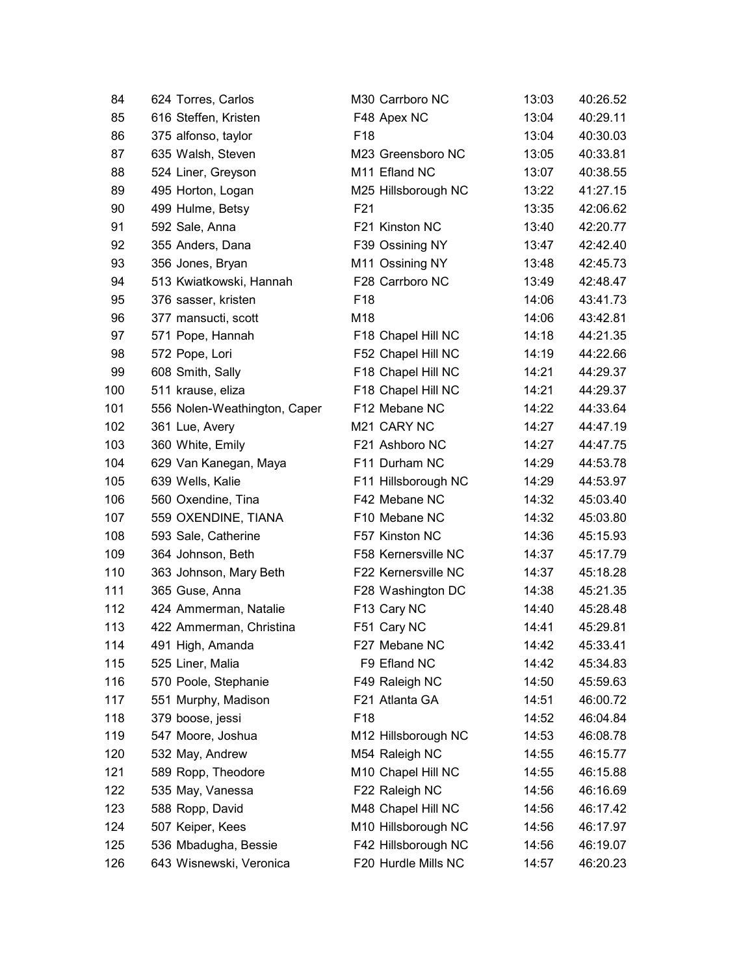| 84  | 624 Torres, Carlos           | M30 Carrboro NC           | 13:03 | 40:26.52 |
|-----|------------------------------|---------------------------|-------|----------|
| 85  | 616 Steffen, Kristen         | F48 Apex NC               | 13:04 | 40:29.11 |
| 86  | 375 alfonso, taylor          | F <sub>18</sub>           | 13:04 | 40:30.03 |
| 87  | 635 Walsh, Steven            | M23 Greensboro NC         | 13:05 | 40:33.81 |
| 88  | 524 Liner, Greyson           | M <sub>11</sub> Efland NC | 13:07 | 40:38.55 |
| 89  | 495 Horton, Logan            | M25 Hillsborough NC       | 13:22 | 41:27.15 |
| 90  | 499 Hulme, Betsy             | F <sub>21</sub>           | 13:35 | 42:06.62 |
| 91  | 592 Sale, Anna               | F21 Kinston NC            | 13:40 | 42:20.77 |
| 92  | 355 Anders, Dana             | F39 Ossining NY           | 13:47 | 42:42.40 |
| 93  | 356 Jones, Bryan             | M11 Ossining NY           | 13:48 | 42:45.73 |
| 94  | 513 Kwiatkowski, Hannah      | F28 Carrboro NC           | 13:49 | 42:48.47 |
| 95  | 376 sasser, kristen          | F <sub>18</sub>           | 14:06 | 43:41.73 |
| 96  | 377 mansucti, scott          | M18                       | 14:06 | 43:42.81 |
| 97  | 571 Pope, Hannah             | F18 Chapel Hill NC        | 14:18 | 44:21.35 |
| 98  | 572 Pope, Lori               | F52 Chapel Hill NC        | 14:19 | 44:22.66 |
| 99  | 608 Smith, Sally             | F18 Chapel Hill NC        | 14:21 | 44:29.37 |
| 100 | 511 krause, eliza            | F18 Chapel Hill NC        | 14:21 | 44:29.37 |
| 101 | 556 Nolen-Weathington, Caper | F12 Mebane NC             | 14:22 | 44:33.64 |
| 102 | 361 Lue, Avery               | M <sub>21</sub> CARY NC   | 14:27 | 44:47.19 |
| 103 | 360 White, Emily             | F21 Ashboro NC            | 14:27 | 44:47.75 |
| 104 | 629 Van Kanegan, Maya        | F11 Durham NC             | 14:29 | 44:53.78 |
| 105 | 639 Wells, Kalie             | F11 Hillsborough NC       | 14:29 | 44:53.97 |
| 106 | 560 Oxendine, Tina           | F42 Mebane NC             | 14:32 | 45:03.40 |
| 107 | 559 OXENDINE, TIANA          | F10 Mebane NC             | 14:32 | 45:03.80 |
| 108 | 593 Sale, Catherine          | F57 Kinston NC            | 14:36 | 45:15.93 |
| 109 | 364 Johnson, Beth            | F58 Kernersville NC       | 14:37 | 45:17.79 |
| 110 | 363 Johnson, Mary Beth       | F22 Kernersville NC       | 14:37 | 45:18.28 |
| 111 | 365 Guse, Anna               | F28 Washington DC         | 14:38 | 45:21.35 |
| 112 | 424 Ammerman, Natalie        | F13 Cary NC               | 14:40 | 45:28.48 |
| 113 | 422 Ammerman, Christina      | F51 Cary NC               | 14:41 | 45:29.81 |
| 114 | 491 High, Amanda             | F27 Mebane NC             | 14:42 | 45:33.41 |
| 115 | 525 Liner, Malia             | F9 Efland NC              | 14:42 | 45:34.83 |
| 116 | 570 Poole, Stephanie         | F49 Raleigh NC            | 14:50 | 45:59.63 |
| 117 | 551 Murphy, Madison          | F21 Atlanta GA            | 14:51 | 46:00.72 |
| 118 | 379 boose, jessi             | F <sub>18</sub>           | 14:52 | 46:04.84 |
| 119 | 547 Moore, Joshua            | M12 Hillsborough NC       | 14:53 | 46:08.78 |
| 120 | 532 May, Andrew              | M54 Raleigh NC            | 14:55 | 46:15.77 |
| 121 | 589 Ropp, Theodore           | M10 Chapel Hill NC        | 14:55 | 46:15.88 |
| 122 | 535 May, Vanessa             | F22 Raleigh NC            | 14:56 | 46:16.69 |
| 123 | 588 Ropp, David              | M48 Chapel Hill NC        | 14:56 | 46:17.42 |
| 124 | 507 Keiper, Kees             | M10 Hillsborough NC       | 14:56 | 46:17.97 |
| 125 | 536 Mbadugha, Bessie         | F42 Hillsborough NC       | 14:56 | 46:19.07 |
| 126 | 643 Wisnewski, Veronica      | F20 Hurdle Mills NC       | 14:57 | 46:20.23 |